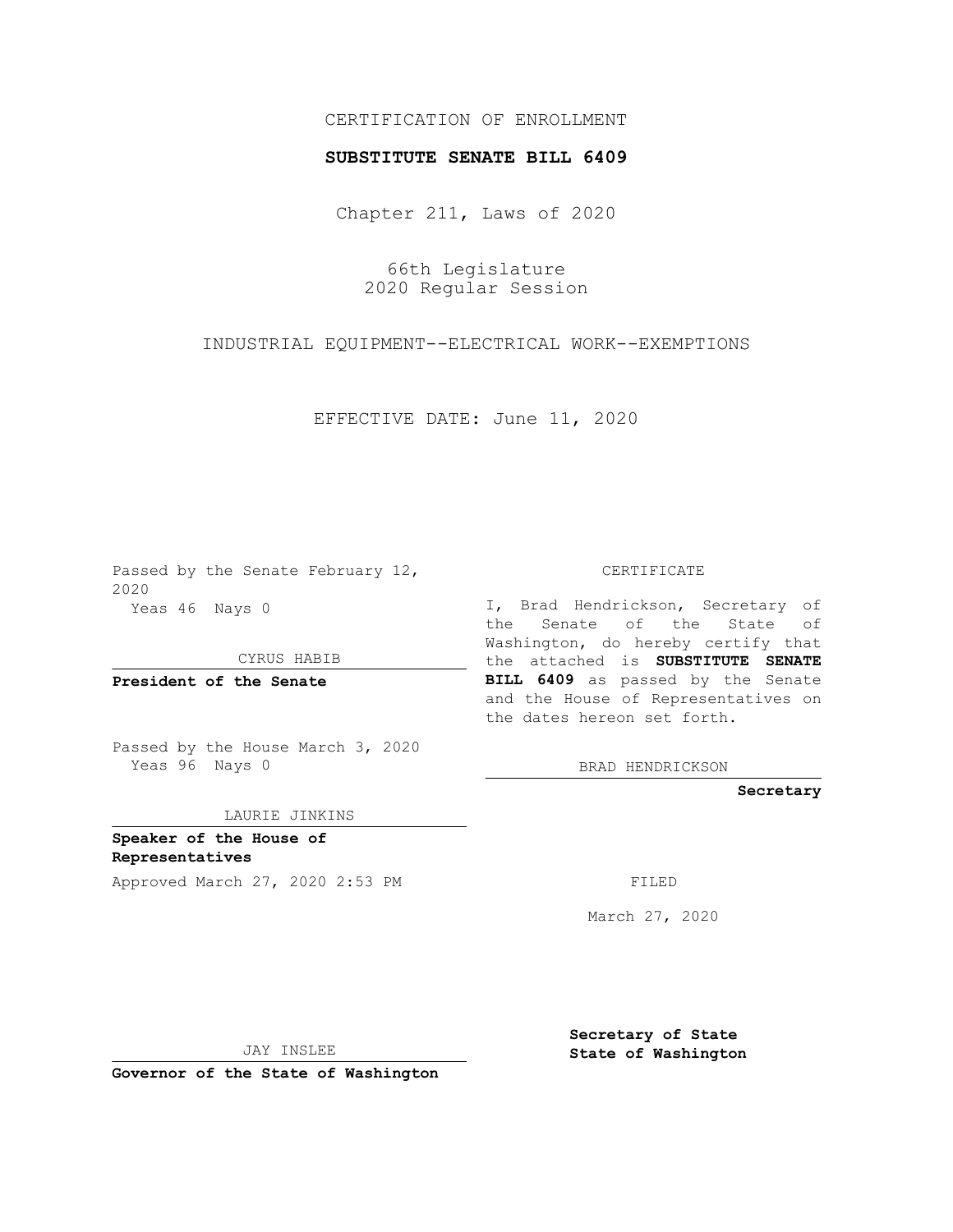## CERTIFICATION OF ENROLLMENT

## **SUBSTITUTE SENATE BILL 6409**

Chapter 211, Laws of 2020

66th Legislature 2020 Regular Session

INDUSTRIAL EQUIPMENT--ELECTRICAL WORK--EXEMPTIONS

EFFECTIVE DATE: June 11, 2020

Passed by the Senate February 12, 2020 Yeas 46 Nays 0

CYRUS HABIB

**President of the Senate**

Passed by the House March 3, 2020 Yeas 96 Nays 0

LAURIE JINKINS

**Speaker of the House of Representatives**

Approved March 27, 2020 2:53 PM

CERTIFICATE

I, Brad Hendrickson, Secretary of the Senate of the State of Washington, do hereby certify that the attached is **SUBSTITUTE SENATE BILL 6409** as passed by the Senate and the House of Representatives on the dates hereon set forth.

BRAD HENDRICKSON

**Secretary**

March 27, 2020

JAY INSLEE

**Governor of the State of Washington**

**Secretary of State State of Washington**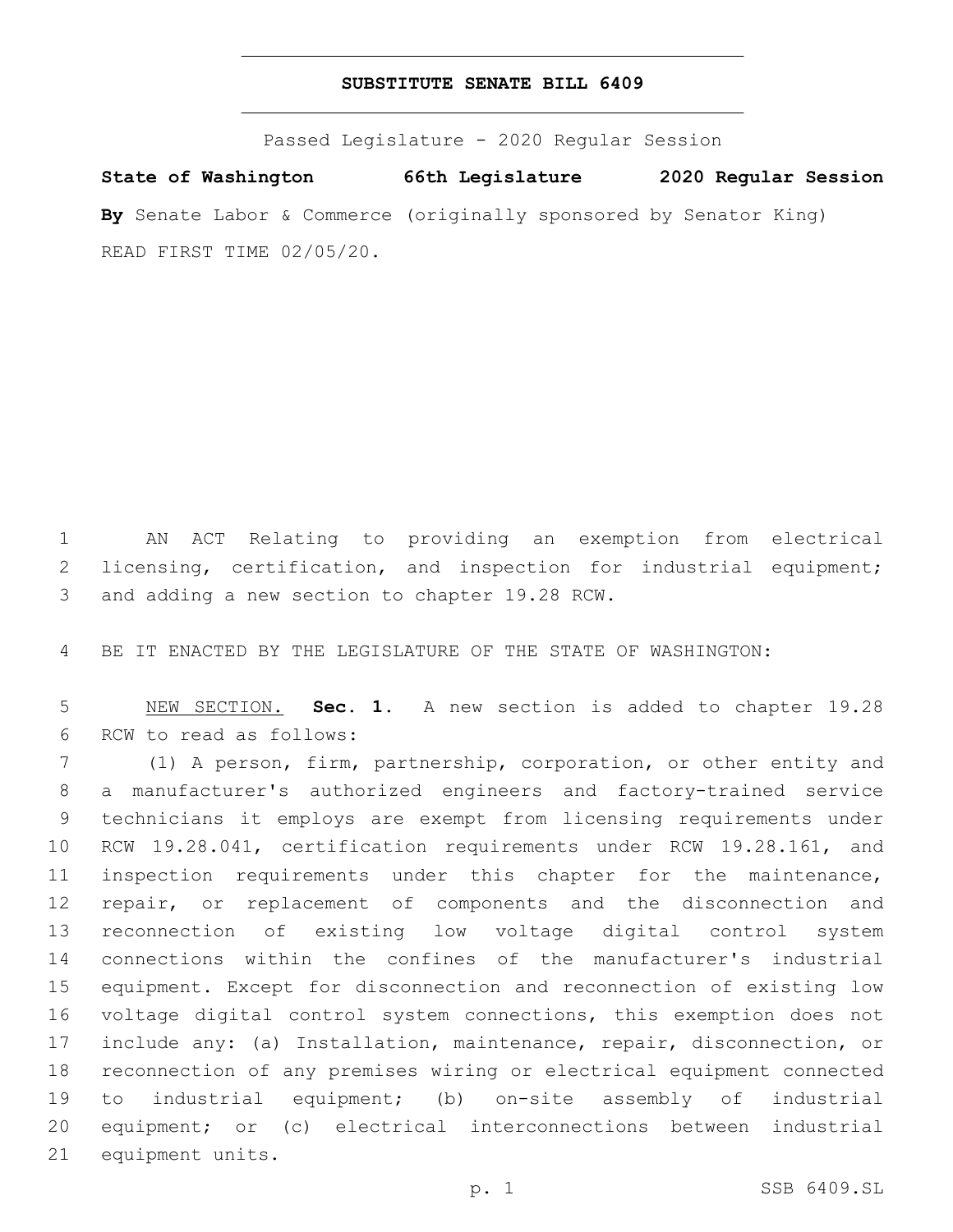## **SUBSTITUTE SENATE BILL 6409**

Passed Legislature - 2020 Regular Session

**State of Washington 66th Legislature 2020 Regular Session By** Senate Labor & Commerce (originally sponsored by Senator King) READ FIRST TIME 02/05/20.

 AN ACT Relating to providing an exemption from electrical 2 licensing, certification, and inspection for industrial equipment; 3 and adding a new section to chapter 19.28 RCW.

BE IT ENACTED BY THE LEGISLATURE OF THE STATE OF WASHINGTON:

 NEW SECTION. **Sec. 1.** A new section is added to chapter 19.28 6 RCW to read as follows:

 (1) A person, firm, partnership, corporation, or other entity and a manufacturer's authorized engineers and factory-trained service technicians it employs are exempt from licensing requirements under RCW 19.28.041, certification requirements under RCW 19.28.161, and inspection requirements under this chapter for the maintenance, repair, or replacement of components and the disconnection and reconnection of existing low voltage digital control system connections within the confines of the manufacturer's industrial equipment. Except for disconnection and reconnection of existing low voltage digital control system connections, this exemption does not include any: (a) Installation, maintenance, repair, disconnection, or reconnection of any premises wiring or electrical equipment connected to industrial equipment; (b) on-site assembly of industrial equipment; or (c) electrical interconnections between industrial 21 equipment units.